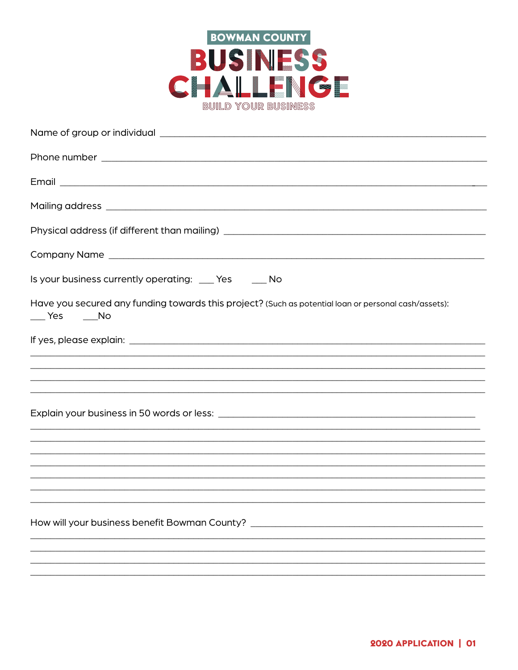

| Is your business currently operating: ___ Yes ____ No                                                             |
|-------------------------------------------------------------------------------------------------------------------|
|                                                                                                                   |
| Have you secured any funding towards this project? (Such as potential loan or personal cash/assets):<br>No Nes No |
|                                                                                                                   |
|                                                                                                                   |
| <u>,一个人的人都不能在这个人的人,就是这个人的人,就是这个人的人,就是这个人的人,就是这个人的人,就是这个人的人,就是这个人的人,就是这个人的人,</u>                                   |
|                                                                                                                   |
|                                                                                                                   |
| ,我们也不能会有什么。""我们的人,我们也不能会有什么?""我们的人,我们也不能会有什么?""我们的人,我们也不能会有什么?""我们的人,我们也不能会有什么?""                                 |
| <u>,我们就会在这里的时候,我们就会在这里的时候,我们就会在这里的时候,我们就会在这里的时候,我们就会在这里的时候,我们就会在这里的时候,我们就会在这里</u>                                 |
|                                                                                                                   |
| <u>,这就是一个人的人,我们就是一个人的人,我们就是一个人的人,我们就是一个人的人,我们就是一个人的人,我们就是一个人的人,我们就是一个人的人,我们就是</u>                                 |
| How will your business benefit Bowman County? __________________________________                                  |
|                                                                                                                   |
|                                                                                                                   |
|                                                                                                                   |